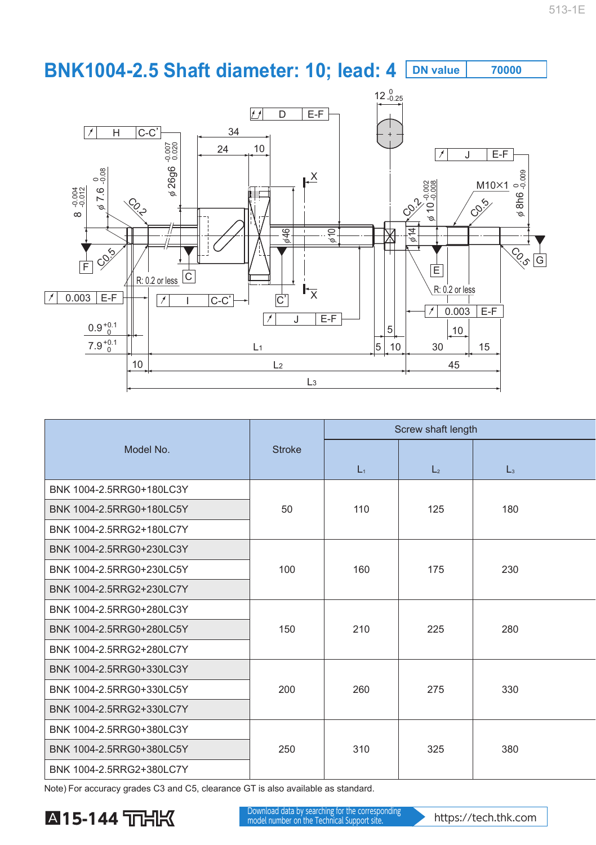## **BNK1004-2.5 Shaft diameter: 10; lead: 4 DN value 70000**



|                          |               | Screw shaft length |                  |                |  |
|--------------------------|---------------|--------------------|------------------|----------------|--|
| Model No.                | <b>Stroke</b> | $L_1$              | $\mathsf{L}_{2}$ | $\mathsf{L}_3$ |  |
| BNK 1004-2.5RRG0+180LC3Y |               | 110                | 125              |                |  |
| BNK 1004-2.5RRG0+180LC5Y | 50            |                    |                  | 180            |  |
| BNK 1004-2.5RRG2+180LC7Y |               |                    |                  |                |  |
| BNK 1004-2.5RRG0+230LC3Y |               |                    |                  |                |  |
| BNK 1004-2.5RRG0+230LC5Y | 100           | 160                | 175              | 230            |  |
| BNK 1004-2.5RRG2+230LC7Y |               |                    |                  |                |  |
| BNK 1004-2.5RRG0+280LC3Y |               |                    |                  |                |  |
| BNK 1004-2.5RRG0+280LC5Y | 150           | 210                | 225              | 280            |  |
| BNK 1004-2.5RRG2+280LC7Y |               |                    |                  |                |  |
| BNK 1004-2.5RRG0+330LC3Y |               |                    |                  |                |  |
| BNK 1004-2.5RRG0+330LC5Y | 200           | 260                | 275              | 330            |  |
| BNK 1004-2.5RRG2+330LC7Y |               |                    |                  |                |  |
| BNK 1004-2.5RRG0+380LC3Y |               |                    |                  |                |  |
| BNK 1004-2.5RRG0+380LC5Y | 250           | 310                | 325              | 380            |  |
| BNK 1004-2.5RRG2+380LC7Y |               |                    |                  |                |  |

Note) For accuracy grades C3 and C5, clearance GT is also available as standard.

## **A15-144 DOM NOWHIGED GREAT BY SEARCHING TO THE CORRESPONDING AND A LATER STATE OF A LATER STATE OF A LATER STATE OF A LATER STATE OF A LATER STATE OF A LATER STATE OF A LATER STATE OF A LATER STATE OF A LATER STATE OF A L**